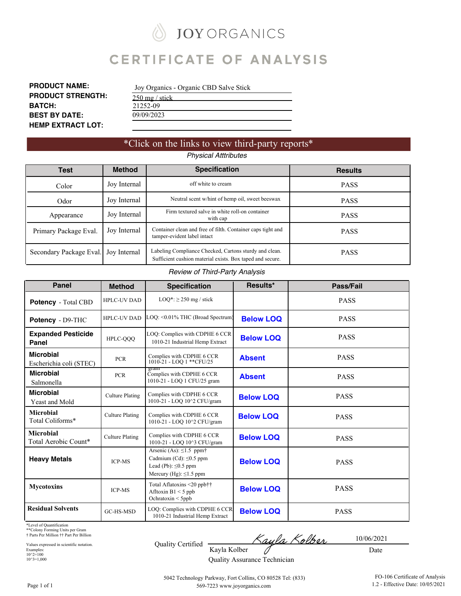**JOY ORGANICS** Ñ

# **CERTIFICATE OF ANALYSIS**

| <b>PRODUCT NAME:</b>     |
|--------------------------|
| <b>PRODUCT STRENGTH:</b> |
| <b>BATCH:</b>            |
| <b>BEST BY DATE:</b>     |
| <b>HEMP EXTRACT LOT:</b> |

| Joy Organics - Organic CBD Salve Stick |  |
|----------------------------------------|--|
| 250 mg / stick                         |  |
| 21252-09                               |  |
| 09/09/2023                             |  |

### \*Click on the links to view third-party reports\* *Physical Atttributes*

| Test                    | <b>Method</b> | <b>Specification</b>                                                                                                | <b>Results</b> |
|-------------------------|---------------|---------------------------------------------------------------------------------------------------------------------|----------------|
| Color                   | Joy Internal  | off white to cream                                                                                                  | <b>PASS</b>    |
| Odor                    | Joy Internal  | Neutral scent w/hint of hemp oil, sweet beeswax                                                                     | <b>PASS</b>    |
| Appearance              | Joy Internal  | Firm textured salve in white roll-on container<br>with cap                                                          | <b>PASS</b>    |
| Primary Package Eval.   | Joy Internal  | Container clean and free of filth. Container caps tight and<br>tamper-evident label intact                          | <b>PASS</b>    |
| Secondary Package Eval. | Joy Internal  | Labeling Compliance Checked, Cartons sturdy and clean.<br>Sufficient cushion material exists. Box taped and secure. | <b>PASS</b>    |

#### *Review of Third-Party Analysis*

| <b>Panel</b>                                | <b>Method</b>          | <b>Specification</b>                                                                                                                | Results*         | Pass/Fail   |
|---------------------------------------------|------------------------|-------------------------------------------------------------------------------------------------------------------------------------|------------------|-------------|
| Potency - Total CBD                         | <b>HPLC-UV DAD</b>     | $LOQ^*$ : $\geq$ 250 mg / stick                                                                                                     |                  | <b>PASS</b> |
| Potency - D9-THC                            | <b>HPLC-UV DAD</b>     | LOO: < 0.01% THC (Broad Spectrum)                                                                                                   | <b>Below LOQ</b> | <b>PASS</b> |
| <b>Expanded Pesticide</b><br>Panel          | HPLC-QQQ               | LOQ: Complies with CDPHE 6 CCR<br>1010-21 Industrial Hemp Extract                                                                   | <b>Below LOQ</b> | <b>PASS</b> |
| <b>Microbial</b><br>Escherichia coli (STEC) | <b>PCR</b>             | Complies with CDPHE 6 CCR<br>1010-21 - LOO 1 ** CFU/25                                                                              | <b>Absent</b>    | <b>PASS</b> |
| <b>Microbial</b><br>Salmonella              | <b>PCR</b>             | gram<br>Complies with CDPHE 6 CCR<br>1010-21 - LOQ 1 CFU/25 gram                                                                    | <b>Absent</b>    | <b>PASS</b> |
| <b>Microbial</b><br><b>Yeast and Mold</b>   | <b>Culture Plating</b> | Complies with CDPHE 6 CCR<br>1010-21 - LOQ 10^2 CFU/gram                                                                            | <b>Below LOQ</b> | <b>PASS</b> |
| <b>Microbial</b><br>Total Coliforms*        | <b>Culture Plating</b> | Complies with CDPHE 6 CCR<br>1010-21 - LOQ 10^2 CFU/gram                                                                            | <b>Below LOO</b> | <b>PASS</b> |
| <b>Microbial</b><br>Total Aerobic Count*    | <b>Culture Plating</b> | Complies with CDPHE 6 CCR<br>1010-21 - LOQ 10^3 CFU/gram                                                                            | <b>Below LOQ</b> | <b>PASS</b> |
| <b>Heavy Metals</b>                         | <b>ICP-MS</b>          | Arsenic (As): $\leq$ 1.5 ppm $\dagger$<br>Cadmium (Cd): $\leq 0.5$ ppm<br>Lead (Pb): $\leq 0.5$ ppm<br>Mercury (Hg): $\leq$ 1.5 ppm | <b>Below LOQ</b> | <b>PASS</b> |
| <b>Mycotoxins</b>                           | <b>ICP-MS</b>          | Total Aflatoxins <20 ppb††<br>Afltoxin $B1 < 5$ ppb<br>Ochratoxin $\leq 5$ ppb                                                      | <b>Below LOQ</b> | <b>PASS</b> |
| <b>Residual Solvents</b>                    | GC-HS-MSD              | LOQ: Complies with CDPHE 6 CCR<br>1010-21 Industrial Hemp Extract                                                                   | <b>Below LOQ</b> | <b>PASS</b> |

\*Level of Quantification

\*\*Colony Forming Units per Gram † Parts Per Million †† Part Per Billion

Values expressed in scientific notation. Examples: 10^2=100  $10^{\wedge}3=1,000$ 

<u>Kayla Kolber</u> Quality Certified Kayla Kolber 0

10/06/2021

Quality Assurance Technician

Date

5042 Technology Parkway, Fort Collins, CO 80528 Tel: (833) 569-7223 www.joyorganics.com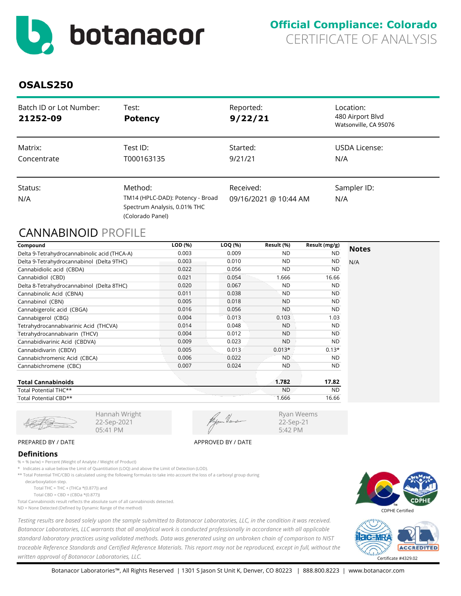<span id="page-1-0"></span>

| Batch ID or Lot Number:<br>21252-09 | Test:<br><b>Potency</b>                                                              | Reported:<br>9/22/21  | Location:<br>480 Airport Blvd<br>Watsonville, CA 95076 |
|-------------------------------------|--------------------------------------------------------------------------------------|-----------------------|--------------------------------------------------------|
| Matrix:<br>Concentrate              | Test ID:<br>T000163135                                                               | Started:<br>9/21/21   | USDA License:<br>N/A                                   |
|                                     |                                                                                      |                       |                                                        |
| Status:                             | Method:                                                                              | Received:             | Sampler ID:                                            |
| N/A                                 | TM14 (HPLC-DAD): Potency - Broad<br>Spectrum Analysis, 0.01% THC<br>(Colorado Panel) | 09/16/2021 @ 10:44 AM | N/A                                                    |

# CANNABINOID PROFILE

| Compound                                     | LOD (%) | LOQ (%) | Result (%) | Result (mg/g) | <b>Notes</b> |
|----------------------------------------------|---------|---------|------------|---------------|--------------|
| Delta 9-Tetrahydrocannabinolic acid (THCA-A) | 0.003   | 0.009   | <b>ND</b>  | <b>ND</b>     |              |
| Delta 9-Tetrahydrocannabinol (Delta 9THC)    | 0.003   | 0.010   | <b>ND</b>  | <b>ND</b>     | N/A          |
| Cannabidiolic acid (CBDA)                    | 0.022   | 0.056   | <b>ND</b>  | <b>ND</b>     |              |
| Cannabidiol (CBD)                            | 0.021   | 0.054   | 1.666      | 16.66         |              |
| Delta 8-Tetrahydrocannabinol (Delta 8THC)    | 0.020   | 0.067   | <b>ND</b>  | <b>ND</b>     |              |
| Cannabinolic Acid (CBNA)                     | 0.011   | 0.038   | <b>ND</b>  | ND.           |              |
| Cannabinol (CBN)                             | 0.005   | 0.018   | <b>ND</b>  | <b>ND</b>     |              |
| Cannabigerolic acid (CBGA)                   | 0.016   | 0.056   | <b>ND</b>  | <b>ND</b>     |              |
| Cannabigerol (CBG)                           | 0.004   | 0.013   | 0.103      | 1.03          |              |
| Tetrahydrocannabivarinic Acid (THCVA)        | 0.014   | 0.048   | <b>ND</b>  | <b>ND</b>     |              |
| Tetrahydrocannabivarin (THCV)                | 0.004   | 0.012   | <b>ND</b>  | <b>ND</b>     |              |
| Cannabidivarinic Acid (CBDVA)                | 0.009   | 0.023   | <b>ND</b>  | <b>ND</b>     |              |
| Cannabidivarin (CBDV)                        | 0.005   | 0.013   | $0.013*$   | $0.13*$       |              |
| Cannabichromenic Acid (CBCA)                 | 0.006   | 0.022   | <b>ND</b>  | <b>ND</b>     |              |
| Cannabichromene (CBC)                        | 0.007   | 0.024   | <b>ND</b>  | ND.           |              |
| <b>Total Cannabinoids</b>                    |         |         | 1.782      | 17.82         |              |
| Total Potential THC**                        |         |         | <b>ND</b>  | <b>ND</b>     |              |
| Total Potential CBD**                        |         |         | 1.666      | 16.66         |              |

22-Sep-2021 05:41 PM

Ryan Weems 22-Sep-21 5:42 PM

#### PREPARED BY / DATE APPROVED BY / DATE

#### **Definitions**

% = % (w/w) = Percent (Weight of Analyte / Weight of Product)

\* Indicates a value below the Limit of Quantitiation (LOQ) and above the Limit of Detection (LOD).

Hannah Wright

\*\* Total Potential THC/CBD is calculated using the following formulas to take into account the loss of a carboxyl group during

decarboxylation step.

Total THC = THC + (THCa  $*(0.877)$ ) and

Total CBD = CBD + (CBDa \*(0.877))

Total Cannabinoids result reflects the absolute sum of all cannabinoids detected.

ND = None Detected (Defined by Dynamic Range of the method)

*Testing results are based solely upon the sample submitted to Botanacor Laboratories, LLC, in the condition it was received. Botanacor Laboratories, LLC warrants that all analytical work is conducted professionally in accordance with all applicable standard laboratory practices using validated methods. Data was generated using an unbroken chain of comparison to NIST traceable Reference Standards and Certified Reference Materials. This report may not be reproduced, except in full, without the written approval of Botanacor Laboratories, LLC.* Certificate #4329.02



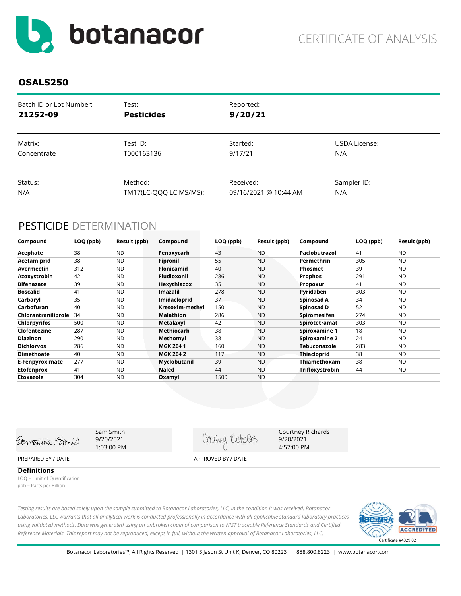<span id="page-2-0"></span>

| Batch ID or Lot Number: | Test:                  | Reported:             |               |
|-------------------------|------------------------|-----------------------|---------------|
| 21252-09                | <b>Pesticides</b>      | 9/20/21               |               |
| Matrix:                 | Test ID:               | Started:              | USDA License: |
| Concentrate             | T000163136             | 9/17/21               | N/A           |
| Status:                 | Method:                | Received:             | Sampler ID:   |
| N/A                     | TM17(LC-QQQ LC MS/MS): | 09/16/2021 @ 10:44 AM | N/A           |

# PESTICIDE DETERMINATION

| Compound            | LOQ (ppb) | Result (ppb) | Compound           | LOQ (ppb) | Result (ppb) | Compound             | LOQ (ppb) | Result (ppb) |
|---------------------|-----------|--------------|--------------------|-----------|--------------|----------------------|-----------|--------------|
| Acephate            | 38        | <b>ND</b>    | Fenoxycarb         | 43        | <b>ND</b>    | Paclobutrazol        | 41        | <b>ND</b>    |
| Acetamiprid         | 38        | <b>ND</b>    | Fipronil           | 55        | <b>ND</b>    | Permethrin           | 305       | <b>ND</b>    |
| Avermectin          | 312       | <b>ND</b>    | <b>Flonicamid</b>  | 40        | <b>ND</b>    | <b>Phosmet</b>       | 39        | <b>ND</b>    |
| Azoxystrobin        | 42        | <b>ND</b>    | <b>Fludioxonil</b> | 286       | <b>ND</b>    | <b>Prophos</b>       | 291       | <b>ND</b>    |
| <b>Bifenazate</b>   | 39        | <b>ND</b>    | Hexythiazox        | 35        | <b>ND</b>    | Propoxur             | 41        | <b>ND</b>    |
| <b>Boscalid</b>     | 41        | <b>ND</b>    | <b>Imazalil</b>    | 278       | <b>ND</b>    | Pyridaben            | 303       | <b>ND</b>    |
| Carbaryl            | 35        | <b>ND</b>    | Imidacloprid       | 37        | <b>ND</b>    | Spinosad A           | 34        | <b>ND</b>    |
| Carbofuran          | 40        | <b>ND</b>    | Kresoxim-methyl    | 150       | <b>ND</b>    | Spinosad D           | 52        | <b>ND</b>    |
| Chlorantraniliprole | 34        | <b>ND</b>    | <b>Malathion</b>   | 286       | <b>ND</b>    | Spiromesifen         | 274       | <b>ND</b>    |
| <b>Chlorpyrifos</b> | 500       | <b>ND</b>    | Metalaxyl          | 42        | <b>ND</b>    | Spirotetramat        | 303       | <b>ND</b>    |
| Clofentezine        | 287       | <b>ND</b>    | Methiocarb         | 38        | <b>ND</b>    | <b>Spiroxamine 1</b> | 18        | <b>ND</b>    |
| <b>Diazinon</b>     | 290       | <b>ND</b>    | Methomyl           | 38        | <b>ND</b>    | Spiroxamine 2        | 24        | <b>ND</b>    |
| <b>Dichlorvos</b>   | 286       | <b>ND</b>    | <b>MGK 2641</b>    | 160       | <b>ND</b>    | Tebuconazole         | 283       | <b>ND</b>    |
| <b>Dimethoate</b>   | 40        | <b>ND</b>    | <b>MGK 264 2</b>   | 117       | <b>ND</b>    | Thiacloprid          | 38        | <b>ND</b>    |
| E-Fenpyroximate     | 277       | <b>ND</b>    | Myclobutanil       | 39        | <b>ND</b>    | Thiamethoxam         | 38        | <b>ND</b>    |
| <b>Etofenprox</b>   | 41        | <b>ND</b>    | <b>Naled</b>       | 44        | <b>ND</b>    | Trifloxystrobin      | 44        | <b>ND</b>    |
| Etoxazole           | 304       | <b>ND</b>    | Oxamyl             | 1500      | <b>ND</b>    |                      |           |              |



Sam Smith 9/20/2021 1:03:00 PM

Contry Richdes

Courtney Richards 9/20/2021 4:57:00 PM

PREPARED BY / DATE APPROVED BY / DATE

**Definitions**

LOQ = Limit of Quantification ppb = Parts per Billion

*Testing results are based solely upon the sample submitted to Botanacor Laboratories, LLC, in the condition it was received. Botanacor Laboratories, LLC warrants that all analytical work is conducted professionally in accordance with all applicable standard laboratory practices using validated methods. Data was generated using an unbroken chain of comparison to NIST traceable Reference Standards and Certified Reference Materials. This report may not be reproduced, except in full, without the written approval of Botanacor Laboratories, LLC.* 



Botanacor Laboratories™, All Rights Reserved | 1301 S Jason St Unit K, Denver, CO 80223 | 888.800.8223 | www.botanacor.com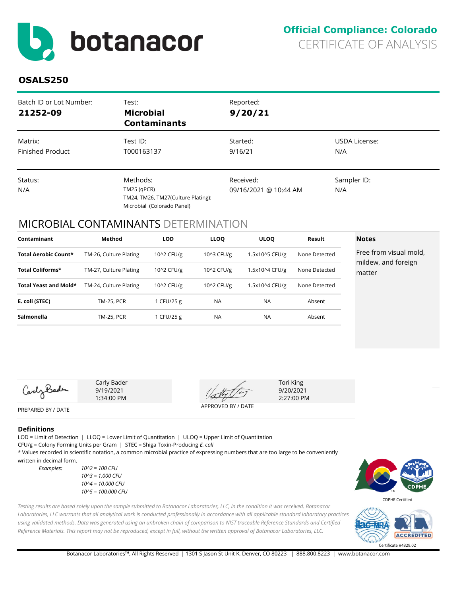<span id="page-3-0"></span>

| Batch ID or Lot Number:<br>21252-09 | Test:<br><b>Microbial</b><br><b>Contaminants</b>                                              | Reported:<br>9/20/21               |                      |
|-------------------------------------|-----------------------------------------------------------------------------------------------|------------------------------------|----------------------|
| Matrix:<br><b>Finished Product</b>  | Test ID:<br>T000163137                                                                        | Started:<br>9/16/21                | USDA License:<br>N/A |
| Status:<br>N/A                      | Methods:<br>$TM25$ (qPCR)<br>TM24, TM26, TM27(Culture Plating):<br>Microbial (Colorado Panel) | Received:<br>09/16/2021 @ 10:44 AM | Sampler ID:<br>N/A   |

# MICROBIAL CONTAMINANTS DETERMINATION

| Contaminant             | Method                 | <b>LOD</b> | <b>LLOQ</b> | <b>ULOO</b>    | Result        | <b>Notes</b>                                  |
|-------------------------|------------------------|------------|-------------|----------------|---------------|-----------------------------------------------|
| Total Aerobic Count*    | TM-26, Culture Plating | 10^2 CFU/g | 10^3 CFU/g  | 1.5x10^5 CFU/g | None Detected | Free from visual mold,<br>mildew, and foreign |
| <b>Total Coliforms*</b> | TM-27, Culture Plating | 10^2 CFU/g | 10^2 CFU/g  | 1.5x10^4 CFU/g | None Detected | matter                                        |
| Total Yeast and Mold*   | TM-24, Culture Plating | 10^2 CFU/g | 10^2 CFU/g  | 1.5x10^4 CFU/g | None Detected |                                               |
| E. coli (STEC)          | <b>TM-25, PCR</b>      | 1 CFU/25 g | <b>NA</b>   | <b>NA</b>      | Absent        |                                               |
| Salmonella              | <b>TM-25, PCR</b>      | 1 CFU/25 g | <b>NA</b>   | <b>NA</b>      | Absent        |                                               |



Carly Bader 9/19/2021 1:34:00 PM

APPROVED BY / DATE

Tori King 9/20/2021 2:27:00 PM

PREPARED BY / DATE

#### **Definitions**

LOD = Limit of Detection | LLOQ = Lower Limit of Quantitation | ULOQ = Upper Limit of Quantitation

CFU/g = Colony Forming Units per Gram | STEC = Shiga Toxin-Producing *E. coli*

\* Values recorded in scientific notation, a common microbial practice of expressing numbers that are too large to be conveniently written in decimal form.

*Testing results are based solely upon the sample submitted to Botanacor Laboratories, LLC, in the condition it was received. Botanacor* 

*using validated methods. Data was generated using an unbroken chain of comparison to NIST traceable Reference Standards and Certified Reference Materials. This report may not be reproduced, except in full, without the written approval of Botanacor Laboratories, LLC.* 

*Examples: 10^2 = 100 CFU 10^3 = 1,000 CFU 10^4 = 10,000 CFU 10^5 = 100,000 CFU*



CDPHE Certified



Botanacor Laboratories™, All Rights Reserved | 1301 S Jason St Unit K, Denver, CO 80223 | 888.800.8223 | www.botanacor.com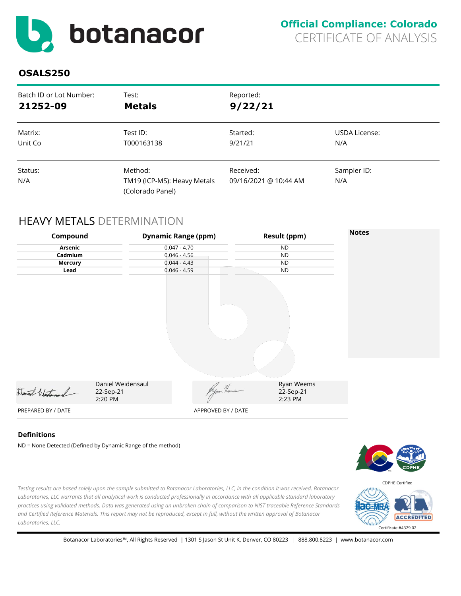<span id="page-4-0"></span>

| Batch ID or Lot Number: | Test:                                                      | Reported:                          |                    |
|-------------------------|------------------------------------------------------------|------------------------------------|--------------------|
| 21252-09                | <b>Metals</b>                                              | 9/22/21                            |                    |
| Matrix:                 | Test ID:                                                   | Started:                           | USDA License:      |
| Unit Co                 | T000163138                                                 | 9/21/21                            | N/A                |
| Status:<br>N/A          | Method:<br>TM19 (ICP-MS): Heavy Metals<br>(Colorado Panel) | Received:<br>09/16/2021 @ 10:44 AM | Sampler ID:<br>N/A |

# HEAVY METALS DETERMINATION

| Compound           |                                                               | <b>Dynamic Range (ppm)</b> | <b>Result (ppm)</b>                | <b>Notes</b> |
|--------------------|---------------------------------------------------------------|----------------------------|------------------------------------|--------------|
|                    | <b>Arsenic</b><br>$0.047 - 4.70$                              |                            | <b>ND</b>                          |              |
| Cadmium            | $0.046 - 4.56$                                                |                            | <b>ND</b>                          |              |
| <b>Mercury</b>     |                                                               | $0.044 - 4.43$             | <b>ND</b>                          |              |
| Lead               |                                                               | $0.046 - 4.59$             | <b>ND</b>                          |              |
|                    |                                                               |                            |                                    |              |
| Daniel Westerand   | Daniel Weidensaul<br>22-Sep-21<br>2:20 PM                     | Myour Heurs                | Ryan Weems<br>22-Sep-21<br>2:23 PM |              |
| PREPARED BY / DATE |                                                               | APPROVED BY / DATE         |                                    |              |
| <b>Definitions</b> | $ND = None$ Detected (Defined by Dynamic Range of the method) |                            |                                    |              |

)etected (Defined by Dynamic Range of the method)



CDPHE Certified

*Testing results are based solely upon the sample submitted to Botanacor Laboratories, LLC, in the condition it was received. Botanacor Laboratories, LLC warrants that all analytical work is conducted professionally in accordance with all applicable standard laboratory practices using validated methods. Data was generated using an unbroken chain of comparison to NIST traceable Reference Standards and Certified Reference Materials. This report may not be reproduced, except in full, without the written approval of Botanacor Laboratories, LLC.* 

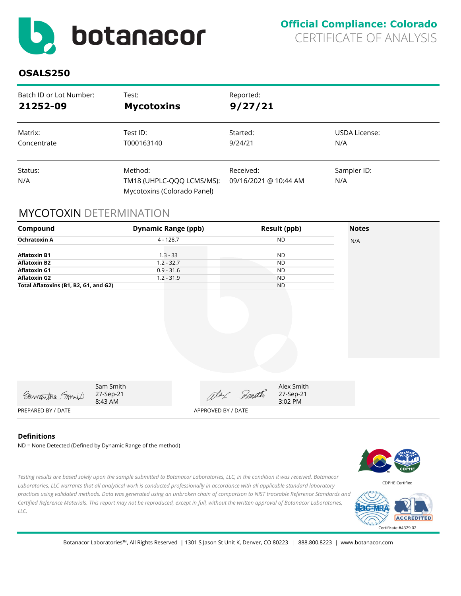<span id="page-5-0"></span>

| Batch ID or Lot Number: | Test:                                                               | Reported:                          |                    |
|-------------------------|---------------------------------------------------------------------|------------------------------------|--------------------|
| 21252-09                | <b>Mycotoxins</b>                                                   | 9/27/21                            |                    |
| Matrix:                 | Test ID:                                                            | Started:                           | USDA License:      |
| Concentrate             | T000163140                                                          | 9/24/21                            | N/A                |
| Status:<br>N/A          | Method:<br>TM18 (UHPLC-QQQ LCMS/MS):<br>Mycotoxins (Colorado Panel) | Received:<br>09/16/2021 @ 10:44 AM | Sampler ID:<br>N/A |

### MYCOTOXIN DETERMINATION

| Compound                                                          | <b>Dynamic Range (ppb)</b>                 |                    |            | <b>Result (ppb)</b>                 | <b>Notes</b> |
|-------------------------------------------------------------------|--------------------------------------------|--------------------|------------|-------------------------------------|--------------|
| <b>Ochratoxin A</b>                                               | $4 - 128.7$                                |                    |            | <b>ND</b>                           | N/A          |
| <b>Aflatoxin B1</b><br><b>Aflatoxin B2</b><br><b>Aflatoxin G1</b> | $1.3 - 33$<br>$1.2 - 32.7$<br>$0.9 - 31.6$ |                    |            | <b>ND</b><br><b>ND</b><br><b>ND</b> |              |
| <b>Aflatoxin G2</b>                                               | $1.2 - 31.9$                               |                    |            | <b>ND</b>                           |              |
| Total Aflatoxins (B1, B2, G1, and G2)                             |                                            |                    |            | <b>ND</b>                           |              |
|                                                                   |                                            |                    |            |                                     |              |
| Samantha Smold                                                    | Sam Smith<br>27-Sep-21<br>8:43 AM          |                    | alex Smith | Alex Smith<br>27-Sep-21<br>3:02 PM  |              |
| PREPARED BY / DATE                                                |                                            | APPROVED BY / DATE |            |                                     |              |

#### **Definitions**

ND = None Detected (Defined by Dynamic Range of the method)



*Testing results are based solely upon the sample submitted to Botanacor Laboratories, LLC, in the condition it was received. Botanacor Laboratories, LLC warrants that all analytical work is conducted professionally in accordance with all applicable standard laboratory practices using validated methods. Data was generated using an unbroken chain of comparison to NIST traceable Reference Standards and Certified Reference Materials. This report may not be reproduced, except in full, without the written approval of Botanacor Laboratories, LLC.* 

![](_page_5_Picture_10.jpeg)